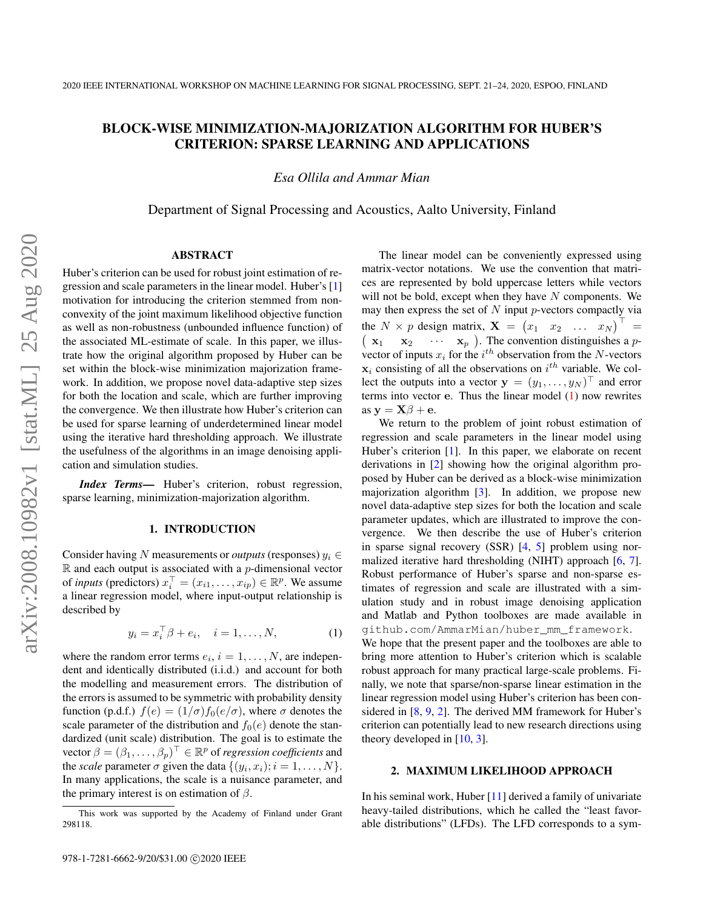# BLOCK-WISE MINIMIZATION-MAJORIZATION ALGORITHM FOR HUBER'S CRITERION: SPARSE LEARNING AND APPLICATIONS

*Esa Ollila and Ammar Mian*

Department of Signal Processing and Acoustics, Aalto University, Finland

# ABSTRACT

Huber's criterion can be used for robust joint estimation of regression and scale parameters in the linear model. Huber's [\[1\]](#page-5-0) motivation for introducing the criterion stemmed from nonconvexity of the joint maximum likelihood objective function as well as non-robustness (unbounded influence function) of the associated ML-estimate of scale. In this paper, we illustrate how the original algorithm proposed by Huber can be set within the block-wise minimization majorization framework. In addition, we propose novel data-adaptive step sizes for both the location and scale, which are further improving the convergence. We then illustrate how Huber's criterion can be used for sparse learning of underdetermined linear model using the iterative hard thresholding approach. We illustrate the usefulness of the algorithms in an image denoising application and simulation studies.

*Index Terms*— Huber's criterion, robust regression, sparse learning, minimization-majorization algorithm.

# 1. INTRODUCTION

Consider having N measurements or *outputs* (responses)  $y_i \in$  $\mathbb R$  and each output is associated with a p-dimensional vector of *inputs* (predictors)  $x_i^{\top} = (x_{i1}, \dots, x_{ip}) \in \mathbb{R}^p$ . We assume a linear regression model, where input-output relationship is described by

<span id="page-0-0"></span>
$$
y_i = x_i^{\top} \beta + e_i, \quad i = 1, \dots, N,
$$
 (1)

where the random error terms  $e_i$ ,  $i = 1, \dots, N$ , are independent and identically distributed (i.i.d.) and account for both the modelling and measurement errors. The distribution of the errors is assumed to be symmetric with probability density function (p.d.f.)  $f(e) = (1/\sigma) f_0(e/\sigma)$ , where  $\sigma$  denotes the scale parameter of the distribution and  $f_0(e)$  denote the standardized (unit scale) distribution. The goal is to estimate the vector  $\beta = (\beta_1, \dots, \beta_p)^{\top} \in \mathbb{R}^p$  of *regression coefficients* and the *scale* parameter  $\sigma$  given the data  $\{(y_i, x_i); i = 1, \ldots, N\}.$ In many applications, the scale is a nuisance parameter, and the primary interest is on estimation of  $\beta$ .

The linear model can be conveniently expressed using matrix-vector notations. We use the convention that matrices are represented by bold uppercase letters while vectors will not be bold, except when they have  $N$  components. We may then express the set of  $N$  input  $p$ -vectors compactly via the  $N \times p$  design matrix,  $\mathbf{X} = \begin{pmatrix} x_1 & x_2 & \dots & x_N \end{pmatrix}^\top$ =  $(x_1)$  $x_1$   $x_2$   $\cdots$   $x_p$ ). The convention distinguishes a pvector of inputs  $x_i$  for the  $i^{th}$  observation from the N-vectors  $x_i$  consisting of all the observations on  $i^{th}$  variable. We collect the outputs into a vector  $\mathbf{y} = (y_1, \dots, y_N)^\top$  and error terms into vector  $e$ . Thus the linear model  $(1)$  now rewrites as  $y = X\beta + e$ .

We return to the problem of joint robust estimation of regression and scale parameters in the linear model using Huber's criterion [\[1\]](#page-5-0). In this paper, we elaborate on recent derivations in [\[2\]](#page-5-1) showing how the original algorithm proposed by Huber can be derived as a block-wise minimization majorization algorithm [\[3\]](#page-5-2). In addition, we propose new novel data-adaptive step sizes for both the location and scale parameter updates, which are illustrated to improve the convergence. We then describe the use of Huber's criterion in sparse signal recovery (SSR) [\[4,](#page-5-3) [5\]](#page-5-4) problem using normalized iterative hard thresholding (NIHT) approach [\[6,](#page-5-5) [7\]](#page-5-6). Robust performance of Huber's sparse and non-sparse estimates of regression and scale are illustrated with a simulation study and in robust image denoising application and Matlab and Python toolboxes are made available in github.com/AmmarMian/huber\_mm\_framework. We hope that the present paper and the toolboxes are able to

bring more attention to Huber's criterion which is scalable robust approach for many practical large-scale problems. Finally, we note that sparse/non-sparse linear estimation in the linear regression model using Huber's criterion has been considered in [\[8,](#page-5-7) [9,](#page-5-8) [2\]](#page-5-1). The derived MM framework for Huber's criterion can potentially lead to new research directions using theory developed in [\[10,](#page-5-9) [3\]](#page-5-2).

## 2. MAXIMUM LIKELIHOOD APPROACH

In his seminal work, Huber [\[11\]](#page-5-10) derived a family of univariate heavy-tailed distributions, which he called the "least favorable distributions" (LFDs). The LFD corresponds to a sym-

This work was supported by the Academy of Finland under Grant 298118.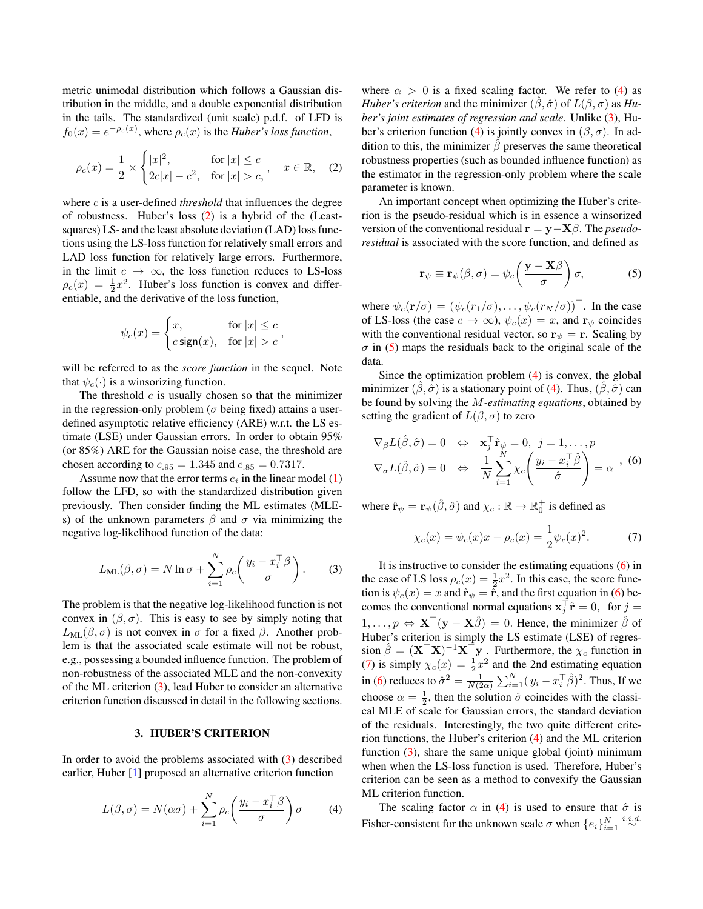metric unimodal distribution which follows a Gaussian distribution in the middle, and a double exponential distribution in the tails. The standardized (unit scale) p.d.f. of LFD is  $f_0(x) = e^{-\rho_c(x)}$ , where  $\rho_c(x)$  is the *Huber's loss function*,

<span id="page-1-0"></span>
$$
\rho_c(x) = \frac{1}{2} \times \begin{cases} |x|^2, & \text{for } |x| \le c \\ 2c|x| - c^2, & \text{for } |x| > c, \end{cases}, \quad x \in \mathbb{R}, \quad (2)
$$

where *c* is a user-defined *threshold* that influences the degree of robustness. Huber's loss [\(2\)](#page-1-0) is a hybrid of the (Leastsquares) LS- and the least absolute deviation (LAD) loss functions using the LS-loss function for relatively small errors and LAD loss function for relatively large errors. Furthermore, in the limit  $c \to \infty$ , the loss function reduces to LS-loss  $\rho_c(x) = \frac{1}{2}x^2$ . Huber's loss function is convex and differentiable, and the derivative of the loss function,

$$
\psi_c(x) = \begin{cases} x, & \text{for } |x| \le c \\ c \operatorname{sign}(x), & \text{for } |x| > c \end{cases}
$$

will be referred to as the *score function* in the sequel. Note that  $\psi_c(\cdot)$  is a winsorizing function.

The threshold  $c$  is usually chosen so that the minimizer in the regression-only problem ( $\sigma$  being fixed) attains a userdefined asymptotic relative efficiency (ARE) w.r.t. the LS estimate (LSE) under Gaussian errors. In order to obtain 95% (or 85%) ARE for the Gaussian noise case, the threshold are chosen according to  $c_{.95} = 1.345$  and  $c_{.85} = 0.7317$ .

Assume now that the error terms  $e_i$  in the linear model  $(1)$ follow the LFD, so with the standardized distribution given previously. Then consider finding the ML estimates (MLEs) of the unknown parameters  $\beta$  and  $\sigma$  via minimizing the negative log-likelihood function of the data:

<span id="page-1-1"></span>
$$
L_{ML}(\beta, \sigma) = N \ln \sigma + \sum_{i=1}^{N} \rho_c \left( \frac{y_i - x_i^{\top} \beta}{\sigma} \right). \tag{3}
$$

The problem is that the negative log-likelihood function is not convex in  $(\beta, \sigma)$ . This is easy to see by simply noting that  $L_{ML}(\beta, \sigma)$  is not convex in  $\sigma$  for a fixed  $\beta$ . Another problem is that the associated scale estimate will not be robust, e.g., possessing a bounded influence function. The problem of non-robustness of the associated MLE and the non-convexity of the ML criterion [\(3\)](#page-1-1), lead Huber to consider an alternative criterion function discussed in detail in the following sections.

#### 3. HUBER'S CRITERION

In order to avoid the problems associated with [\(3\)](#page-1-1) described earlier, Huber [\[1\]](#page-5-0) proposed an alternative criterion function

$$
L(\beta, \sigma) = N(\alpha \sigma) + \sum_{i=1}^{N} \rho_c \left( \frac{y_i - x_i^{\top} \beta}{\sigma} \right) \sigma \qquad (4)
$$

where  $\alpha > 0$  is a fixed scaling factor. We refer to [\(4\)](#page-1-2) as *Huber's criterion* and the minimizer  $(\hat{\beta}, \hat{\sigma})$  of  $L(\beta, \sigma)$  as *Huber's joint estimates of regression and scale*. Unlike [\(3\)](#page-1-1), Hu-ber's criterion function [\(4\)](#page-1-2) is jointly convex in  $(\beta, \sigma)$ . In addition to this, the minimizer  $\hat{\beta}$  preserves the same theoretical robustness properties (such as bounded influence function) as the estimator in the regression-only problem where the scale parameter is known.

An important concept when optimizing the Huber's criterion is the pseudo-residual which is in essence a winsorized version of the conventional residual r = y−Xβ. The *pseudoresidual* is associated with the score function, and defined as

<span id="page-1-3"></span>
$$
\mathbf{r}_{\psi} \equiv \mathbf{r}_{\psi}(\beta, \sigma) = \psi_c \left( \frac{\mathbf{y} - \mathbf{X}\beta}{\sigma} \right) \sigma, \tag{5}
$$

where  $\psi_c(\mathbf{r}/\sigma) = (\psi_c(r_1/\sigma), \dots, \psi_c(r_N/\sigma))^{\top}$ . In the case of LS-loss (the case  $c \to \infty$ ),  $\psi_c(x) = x$ , and  $\mathbf{r}_{\psi}$  coincides with the conventional residual vector, so  $\mathbf{r}_{\psi} = \mathbf{r}$ . Scaling by  $\sigma$  in [\(5\)](#page-1-3) maps the residuals back to the original scale of the data.

Since the optimization problem [\(4\)](#page-1-2) is convex, the global minimizer  $(\hat{\beta}, \hat{\sigma})$  is a stationary point of [\(4\)](#page-1-2). Thus,  $(\hat{\beta}, \hat{\sigma})$  can be found by solving the M*-estimating equations*, obtained by setting the gradient of  $L(\beta, \sigma)$  to zero

<span id="page-1-4"></span>
$$
\nabla_{\beta} L(\hat{\beta}, \hat{\sigma}) = 0 \Leftrightarrow \mathbf{x}_{j}^{\top} \hat{\mathbf{r}}_{\psi} = 0, \ j = 1, \dots, p
$$

$$
\nabla_{\sigma} L(\hat{\beta}, \hat{\sigma}) = 0 \Leftrightarrow \frac{1}{N} \sum_{i=1}^{N} \chi_{c} \left( \frac{y_{i} - x_{i}^{\top} \hat{\beta}}{\hat{\sigma}} \right) = \alpha \quad (6)
$$

where  $\hat{\mathbf{r}}_{\psi} = \mathbf{r}_{\psi}(\hat{\beta}, \hat{\sigma})$  and  $\chi_c : \mathbb{R} \to \mathbb{R}_0^+$  is defined as

<span id="page-1-5"></span>
$$
\chi_c(x) = \psi_c(x)x - \rho_c(x) = \frac{1}{2}\psi_c(x)^2.
$$
 (7)

It is instructive to consider the estimating equations [\(6\)](#page-1-4) in the case of LS loss  $\rho_c(x) = \frac{1}{2}x^2$ . In this case, the score function is  $\psi_c(x) = x$  and  $\hat{\mathbf{r}}_{\psi} = \hat{\mathbf{r}}$ , and the first equation in [\(6\)](#page-1-4) becomes the conventional normal equations  $\mathbf{x}_j^{\top} \hat{\mathbf{r}} = 0$ , for  $j =$  $1, \ldots, p \Leftrightarrow \mathbf{X}^{\top}(\mathbf{y} - \mathbf{X}\hat{\beta}) = 0$ . Hence, the minimizer  $\hat{\beta}$  of Huber's criterion is simply the LS estimate (LSE) of regression  $\hat{\beta} = (\mathbf{X}^{\top}\mathbf{X})^{-1}\mathbf{X}^{\top}\mathbf{y}$ . Furthermore, the  $\chi_c$  function in [\(7\)](#page-1-5) is simply  $\chi_c(x) = \frac{1}{2}x^2$  and the 2nd estimating equation 2 in [\(6\)](#page-1-4) reduces to  $\hat{\sigma}^2 = \frac{1}{N(2\alpha)} \sum_{i=1}^N (y_i - x_i^{\top} \hat{\beta})^2$ . Thus, If we choose  $\alpha = \frac{1}{2}$ , then the solution  $\hat{\sigma}$  coincides with the classical MLE of scale for Gaussian errors, the standard deviation of the residuals. Interestingly, the two quite different criterion functions, the Huber's criterion [\(4\)](#page-1-2) and the ML criterion function  $(3)$ , share the same unique global (joint) minimum when when the LS-loss function is used. Therefore, Huber's criterion can be seen as a method to convexify the Gaussian ML criterion function.

<span id="page-1-2"></span>The scaling factor  $\alpha$  in [\(4\)](#page-1-2) is used to ensure that  $\hat{\sigma}$  is Fisher-consistent for the unknown scale  $\sigma$  when  $\{e_i\}_{i=1}^N \stackrel{i.i.d.}{\sim}$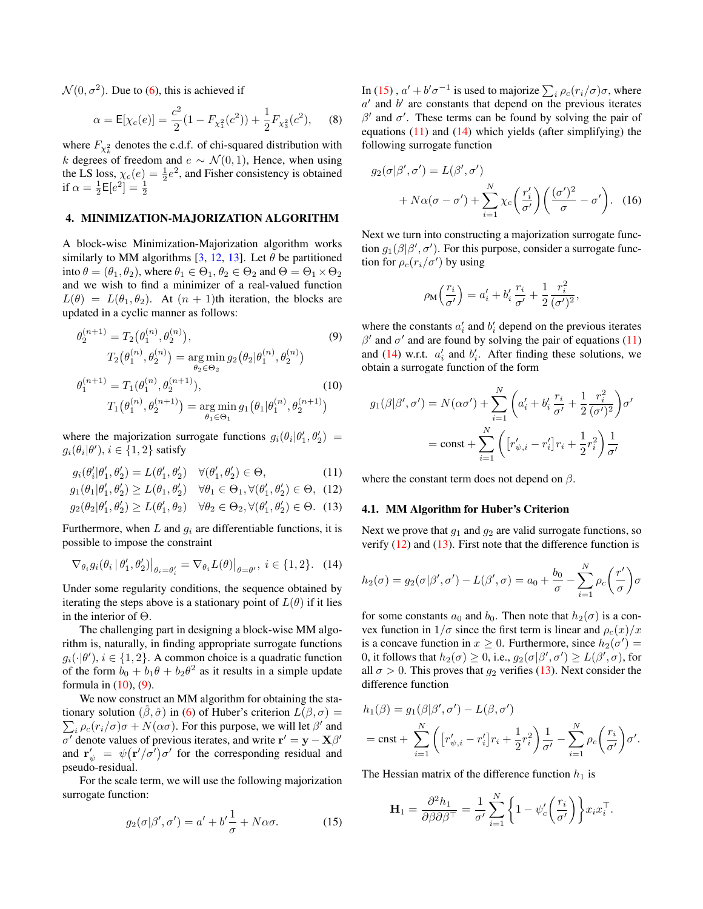$\mathcal{N}(0, \sigma^2)$ . Due to [\(6\)](#page-1-4), this is achieved if

$$
\alpha = \mathsf{E}[\chi_c(e)] = \frac{c^2}{2}(1 - F_{\chi_1^2}(c^2)) + \frac{1}{2}F_{\chi_3^2}(c^2), \quad (8)
$$

where  $F_{\chi^2_k}$  denotes the c.d.f. of chi-squared distribution with k degrees of freedom and  $e \sim \mathcal{N}(0, 1)$ , Hence, when using the LS loss,  $\chi_c(e) = \frac{1}{2}e^2$ , and Fisher consistency is obtained if  $\alpha = \frac{1}{2} \mathsf{E} [e^2] = \frac{1}{2}$ 

# 4. MINIMIZATION-MAJORIZATION ALGORITHM

A block-wise Minimization-Majorization algorithm works similarly to MM algorithms  $[3, 12, 13]$  $[3, 12, 13]$  $[3, 12, 13]$  $[3, 12, 13]$  $[3, 12, 13]$ . Let  $\theta$  be partitioned into  $\theta = (\theta_1, \theta_2)$ , where  $\theta_1 \in \Theta_1$ ,  $\theta_2 \in \Theta_2$  and  $\Theta = \Theta_1 \times \Theta_2$ and we wish to find a minimizer of a real-valued function  $L(\theta) = L(\theta_1, \theta_2)$ . At  $(n + 1)$ th iteration, the blocks are updated in a cyclic manner as follows:

$$
\theta_2^{(n+1)} = T_2(\theta_1^{(n)}, \theta_2^{(n)}),
$$
\n
$$
T_2(\theta_1^{(n)}, \theta_2^{(n)}) = \underset{\theta_2 \in \Theta_2}{\arg \min} g_2(\theta_2 | \theta_1^{(n)}, \theta_2^{(n)})
$$
\n
$$
\theta_1^{(n+1)} = T_1(\theta_1^{(n)}, \theta_2^{(n+1)}),
$$
\n
$$
T_1(\theta_1^{(n)}, \theta_2^{(n+1)}) = \underset{\theta_1 \in \Theta_1}{\arg \min} g_1(\theta_1 | \theta_1^{(n)}, \theta_2^{(n+1)})
$$
\n(10)

where the majorization surrogate functions  $g_i(\theta_i|\theta'_1, \theta'_2)$  =  $g_i(\theta_i|\theta'), i \in \{1,2\}$  satisfy

$$
g_i(\theta'_i|\theta'_1,\theta'_2) = L(\theta'_1,\theta'_2) \quad \forall (\theta'_1,\theta'_2) \in \Theta,
$$
\n(11)

$$
g_1(\theta_1|\theta_1', \theta_2') \ge L(\theta_1, \theta_2') \quad \forall \theta_1 \in \Theta_1, \forall (\theta_1', \theta_2') \in \Theta, \tag{12}
$$

$$
g_2(\theta_2|\theta'_1, \theta'_2) \ge L(\theta'_1, \theta_2) \quad \forall \theta_2 \in \Theta_2, \forall (\theta'_1, \theta'_2) \in \Theta. \tag{13}
$$

Furthermore, when  $L$  and  $q_i$  are differentiable functions, it is possible to impose the constraint

<span id="page-2-4"></span>
$$
\nabla_{\theta_i} g_i(\theta_i | \theta'_1, \theta'_2)|_{\theta_i = \theta'_i} = \nabla_{\theta_i} L(\theta)|_{\theta = \theta'}, \ i \in \{1, 2\}.
$$
 (14)

Under some regularity conditions, the sequence obtained by iterating the steps above is a stationary point of  $L(\theta)$  if it lies in the interior of Θ.

The challenging part in designing a block-wise MM algorithm is, naturally, in finding appropriate surrogate functions  $g_i(\cdot|\theta'), i \in \{1,2\}$ . A common choice is a quadratic function of the form  $b_0 + b_1 \theta + b_2 \theta^2$  as it results in a simple update formula in  $(10)$ ,  $(9)$ .

We now construct an MM algorithm for obtaining the stationary solution  $(\beta, \hat{\sigma})$  in (6) of Huber's criterion  $L(\beta, \sigma)$  = tionary solution  $(\beta, \hat{\sigma})$  in [\(6\)](#page-1-4) of Huber's criterion  $L(\beta, \sigma) =$ <br> $\sum_i \rho_c(r_i/\sigma)\sigma + N(\alpha\sigma)$ . For this purpose, we will let  $\beta'$  and  $\sigma'$  denote values of previous iterates, and write  $\mathbf{r}' = \mathbf{y} - \mathbf{X}\beta'$ and  $\mathbf{r}'_{\psi} = \psi(\mathbf{r}'/\sigma')\sigma'$  for the corresponding residual and pseudo-residual.

For the scale term, we will use the following majorization surrogate function:

<span id="page-2-2"></span>
$$
g_2(\sigma|\beta',\sigma') = a' + b'\frac{1}{\sigma} + N\alpha\sigma.
$$
 (15)

<span id="page-2-7"></span>In [\(15\)](#page-2-2),  $a' + b'\sigma^{-1}$  is used to majorize  $\sum_i \rho_c(r_i/\sigma)\sigma$ , where  $a'$  and  $b'$  are constants that depend on the previous iterates  $\beta'$  and  $\sigma'$ . These terms can be found by solving the pair of equations  $(11)$  and  $(14)$  which yields (after simplifying) the following surrogate function

$$
g_2(\sigma|\beta', \sigma') = L(\beta', \sigma')
$$
  
+  $N\alpha(\sigma - \sigma') + \sum_{i=1}^N \chi_c\left(\frac{r_i'}{\sigma'}\right) \left(\frac{(\sigma')^2}{\sigma} - \sigma'\right).$  (16)

Next we turn into constructing a majorization surrogate function  $g_1(\beta|\beta', \sigma')$ . For this purpose, consider a surrogate function for  $\rho_c(r_i/\sigma')$  by using

$$
\rho_{\mathbf{M}}\left(\frac{r_i}{\sigma'}\right) = a'_i + b'_i \frac{r_i}{\sigma'} + \frac{1}{2} \frac{r_i^2}{(\sigma')^2},
$$

<span id="page-2-1"></span>where the constants  $a'_i$  and  $b'_i$  depend on the previous iterates  $β'$  and  $σ'$  and are found by solving the pair of equations [\(11\)](#page-2-3) and [\(14\)](#page-2-4) w.r.t.  $a'_i$  and  $b'_i$ . After finding these solutions, we obtain a surrogate function of the form

<span id="page-2-0"></span>
$$
g_1(\beta|\beta', \sigma') = N(\alpha\sigma') + \sum_{i=1}^N \left( a'_i + b'_i \frac{r_i}{\sigma'} + \frac{1}{2} \frac{r_i^2}{(\sigma')^2} \right) \sigma'
$$
  
= const +  $\sum_{i=1}^N \left( \left[ r'_{\psi,i} - r'_i \right] r_i + \frac{1}{2} r_i^2 \right) \frac{1}{\sigma'}$ 

<span id="page-2-5"></span><span id="page-2-3"></span>where the constant term does not depend on  $\beta$ .

## <span id="page-2-6"></span>4.1. MM Algorithm for Huber's Criterion

Next we prove that  $g_1$  and  $g_2$  are valid surrogate functions, so verify  $(12)$  and  $(13)$ . First note that the difference function is

$$
h_2(\sigma) = g_2(\sigma|\beta', \sigma') - L(\beta', \sigma) = a_0 + \frac{b_0}{\sigma} - \sum_{i=1}^N \rho_c\left(\frac{r'}{\sigma}\right)\sigma
$$

for some constants  $a_0$  and  $b_0$ . Then note that  $h_2(\sigma)$  is a convex function in  $1/\sigma$  since the first term is linear and  $\rho_c(x)/x$ is a concave function in  $x \ge 0$ . Furthermore, since  $h_2(\sigma') =$ 0, it follows that  $h_2(\sigma) \geq 0$ , i.e.,  $g_2(\sigma | \beta', \sigma') \geq L(\beta', \sigma)$ , for all  $\sigma > 0$ . This proves that  $g_2$  verifies [\(13\)](#page-2-6). Next consider the difference function

$$
h_1(\beta) = g_1(\beta|\beta', \sigma') - L(\beta, \sigma')
$$
  
=  $\text{cnst} + \sum_{i=1}^N \left( \left[ r'_{\psi,i} - r'_i \right] r_i + \frac{1}{2} r_i^2 \right) \frac{1}{\sigma'} - \sum_{i=1}^N \rho_c \left( \frac{r_i}{\sigma'} \right) \sigma'.$ 

The Hessian matrix of the difference function  $h_1$  is

$$
\mathbf{H}_1 = \frac{\partial^2 h_1}{\partial \beta \partial \beta^{\top}} = \frac{1}{\sigma'} \sum_{i=1}^N \left\{ 1 - \psi_c' \left( \frac{r_i}{\sigma'} \right) \right\} x_i x_i^{\top}.
$$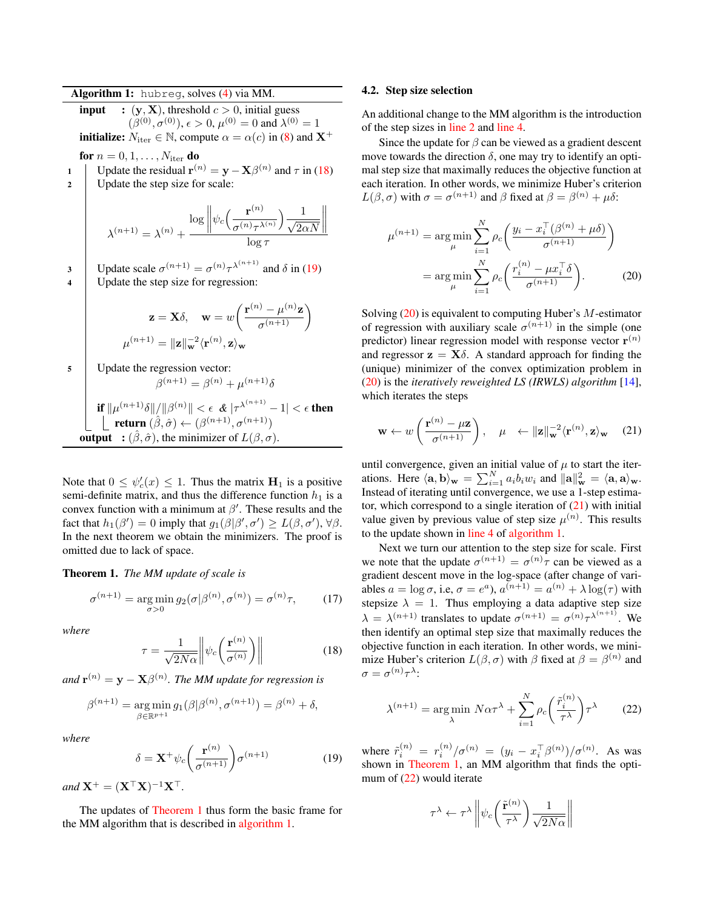<span id="page-3-5"></span><span id="page-3-4"></span>Algorithm 1: hubreg, solves [\(4\)](#page-1-2) via MM. **input** :  $(y, X)$ , threshold  $c > 0$ , initial guess  $(\beta^{(0)}, \sigma^{(0)})$ ,  $\epsilon > 0$ ,  $\mu^{(0)} = 0$  and  $\lambda^{(0)} = 1$ **initialize:**  $N_{\text{iter}} \in \mathbb{N}$ , compute  $\alpha = \alpha(c)$  in [\(8\)](#page-2-7) and  $X^+$ for  $n = 0, 1, \ldots, N_{\text{iter}}$  do 1 Update the residual  $\mathbf{r}^{(n)} = \mathbf{y} - \mathbf{X}\beta^{(n)}$  and  $\tau$  in [\(18\)](#page-3-0) 2 | Update the step size for scale:  $\lambda^{(n+1)} = \lambda^{(n)} +$  $\log \left\| \right\|$  $\psi_c\Big(\frac{\mathbf{r}^{(n)}}{(n)}\Big)$  $\frac{\mathbf{r}^{(n)}}{\sigma^{(n)}\tau^{\lambda^{(n)}}}\Big)\frac{1}{\sqrt{2\epsilon}}$  $2\alpha N$   $\log \tau$ 3 Update scale  $\sigma^{(n+1)} = \sigma^{(n)} \tau^{\lambda^{(n+1)}}$  and  $\delta$  in [\(19\)](#page-3-1) 4 Update the step size for regression:  $\mathbf{z} = \mathbf{X} \delta, \quad \mathbf{w} = w \bigg( \frac{\mathbf{r}^{(n)} - \mu^{(n)} \mathbf{z}}{2 \cdot \mathbf{z}} \bigg)$  $\frac{\partial}{\partial \sigma^{(n+1)}}$  $\mu^{(n+1)} = \|\mathbf{z}\|_{\mathbf{w}}^{-2} \langle \mathbf{r}^{(n)}, \mathbf{z} \rangle_{\mathbf{w}}$ <sup>5</sup> Update the regression vector:  $\beta^{(n+1)} = \beta^{(n)} + \mu^{(n+1)}\delta$ if  $\|\mu^{(n+1)}\delta\|/\|\beta^{(n)}\| < \epsilon \ \ \& \ |\tau^{\lambda^{(n+1)}}-1| < \epsilon$  then **return**  $(\hat{\beta}, \hat{\sigma}) \leftarrow (\beta^{(n+1)}, \sigma^{(n+1)})$ **output** :  $(\hat{\beta}, \hat{\sigma})$ , the minimizer of  $L(\beta, \sigma)$ .

<span id="page-3-3"></span>Note that  $0 \leq \psi_c'(x) \leq 1$ . Thus the matrix  $\mathbf{H}_1$  is a positive semi-definite matrix, and thus the difference function  $h_1$  is a convex function with a minimum at  $\beta'$ . These results and the fact that  $h_1(\beta') = 0$  imply that  $g_1(\beta|\beta', \sigma') \ge L(\beta, \sigma')$ ,  $\forall \beta$ . In the next theorem we obtain the minimizers. The proof is omitted due to lack of space.

<span id="page-3-2"></span>Theorem 1. *The MM update of scale is*

$$
\sigma^{(n+1)} = \underset{\sigma > 0}{\arg \min} g_2(\sigma | \beta^{(n)}, \sigma^{(n)}) = \sigma^{(n)} \tau, \tag{17}
$$

*where*

<span id="page-3-0"></span>
$$
\tau = \frac{1}{\sqrt{2N\alpha}} \left\| \psi_c \left( \frac{\mathbf{r}^{(n)}}{\sigma^{(n)}} \right) \right\| \tag{18}
$$

and  $\mathbf{r}^{(n)}=\mathbf{y}-\mathbf{X}\beta^{(n)}.$  The MM update for regression is

$$
\beta^{(n+1)} = \underset{\beta \in \mathbb{R}^{p+1}}{\arg \min} g_1(\beta | \beta^{(n)}, \sigma^{(n+1)}) = \beta^{(n)} + \delta,
$$

*where*

<span id="page-3-1"></span>
$$
\delta = \mathbf{X}^+ \psi_c \left( \frac{\mathbf{r}^{(n)}}{\sigma^{(n+1)}} \right) \sigma^{(n+1)} \tag{19}
$$

 $and \mathbf{X}^+ = (\mathbf{X}^\top \mathbf{X})^{-1} \mathbf{X}^\top.$ 

The updates of [Theorem 1](#page-3-2) thus form the basic frame for the MM algorithm that is described in [algorithm 1.](#page-3-3)

## 4.2. Step size selection

An additional change to the MM algorithm is the introduction of the step sizes in [line 2](#page-3-4) and [line 4.](#page-3-5)

Since the update for  $\beta$  can be viewed as a gradient descent move towards the direction  $\delta$ , one may try to identify an optimal step size that maximally reduces the objective function at each iteration. In other words, we minimize Huber's criterion  $L(\beta, \sigma)$  with  $\sigma = \sigma^{(n+1)}$  and  $\beta$  fixed at  $\beta = \beta^{(n)} + \mu \delta$ :

<span id="page-3-6"></span>
$$
\mu^{(n+1)} = \arg\min_{\mu} \sum_{i=1}^{N} \rho_c \left( \frac{y_i - x_i^{\top} (\beta^{(n)} + \mu \delta)}{\sigma^{(n+1)}} \right)
$$

$$
= \arg\min_{\mu} \sum_{i=1}^{N} \rho_c \left( \frac{r_i^{(n)} - \mu x_i^{\top} \delta}{\sigma^{(n+1)}} \right).
$$
(20)

Solving [\(20\)](#page-3-6) is equivalent to computing Huber's M-estimator of regression with auxiliary scale  $\sigma^{(n+1)}$  in the simple (one predictor) linear regression model with response vector  $r^{(n)}$ and regressor  $z = X\delta$ . A standard approach for finding the (unique) minimizer of the convex optimization problem in [\(20\)](#page-3-6) is the *iteratively reweighted LS (IRWLS) algorithm* [\[14\]](#page-5-13), which iterates the steps

<span id="page-3-7"></span>
$$
\mathbf{w} \leftarrow w \left( \frac{\mathbf{r}^{(n)} - \mu \mathbf{z}}{\sigma^{(n+1)}} \right), \quad \mu \quad \leftarrow ||\mathbf{z}||_{\mathbf{w}}^{-2} \langle \mathbf{r}^{(n)}, \mathbf{z} \rangle_{\mathbf{w}} \quad (21)
$$

until convergence, given an initial value of  $\mu$  to start the iterations. Here  $\langle \mathbf{a}, \mathbf{b} \rangle_{\mathbf{w}} = \sum_{i=1}^{N} a_i b_i w_i$  and  $\|\mathbf{a}\|_{\mathbf{w}}^2 = \langle \mathbf{a}, \mathbf{a} \rangle_{\mathbf{w}}$ . Instead of iterating until convergence, we use a 1-step estimator, which correspond to a single iteration of  $(21)$  with initial value given by previous value of step size  $\mu^{(n)}$ . This results to the update shown in [line 4](#page-3-5) of [algorithm 1.](#page-3-3)

Next we turn our attention to the step size for scale. First we note that the update  $\sigma^{(n+1)} = \sigma^{(n)}\tau$  can be viewed as a gradient descent move in the log-space (after change of variables  $a = \log \sigma$ , i.e,  $\sigma = e^a$ ),  $a^{(n+1)} = a^{(n)} + \lambda \log(\tau)$  with stepsize  $\lambda = 1$ . Thus employing a data adaptive step size  $\lambda = \lambda^{(n+1)}$  translates to update  $\sigma^{(n+1)} = \sigma^{(n)} \tau^{\lambda^{(n+1)}}$ . We then identify an optimal step size that maximally reduces the objective function in each iteration. In other words, we minimize Huber's criterion  $L(\beta, \sigma)$  with  $\beta$  fixed at  $\beta = \beta^{(n)}$  and  $\sigma = \sigma^{(n)} \tau^{\lambda}$ :

$$
\lambda^{(n+1)} = \underset{\lambda}{\arg\min} \ N\alpha\tau^{\lambda} + \sum_{i=1}^{N} \rho_c \left(\frac{\tilde{r}_i^{(n)}}{\tau^{\lambda}}\right) \tau^{\lambda} \tag{22}
$$

where  $\tilde{r}_i^{(n)} = r_i^{(n)}/\sigma^{(n)} = (y_i - x_i^{\top} \beta^{(n)})/\sigma^{(n)}$ . As was shown in [Theorem 1,](#page-3-2) an MM algorithm that finds the opti-mum of [\(22\)](#page-3-8) would iterate

<span id="page-3-8"></span>
$$
\tau^{\lambda} \leftarrow \tau^{\lambda} \left\| \psi_c \left( \frac{\tilde{\mathbf{r}}^{(n)}}{\tau^{\lambda}} \right) \frac{1}{\sqrt{2N\alpha}} \right\|
$$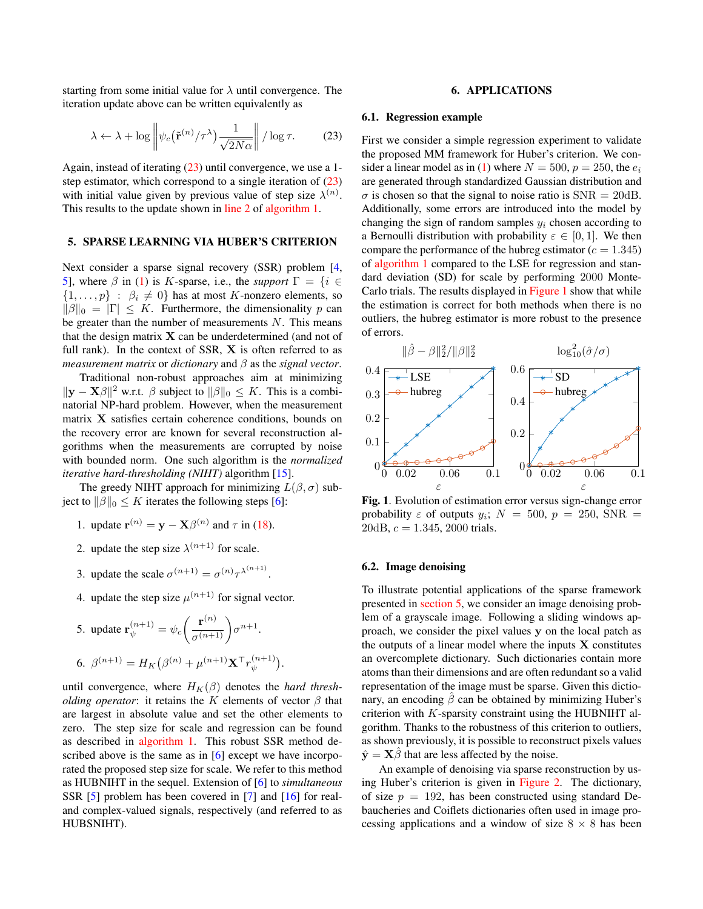starting from some initial value for  $\lambda$  until convergence. The iteration update above can be written equivalently as

$$
\lambda \leftarrow \lambda + \log \left\| \psi_c\left(\tilde{\mathbf{r}}^{(n)}/\tau^\lambda\right) \frac{1}{\sqrt{2N\alpha}} \right\| / \log \tau. \tag{23}
$$

Again, instead of iterating [\(23\)](#page-4-0) until convergence, we use a 1 step estimator, which correspond to a single iteration of  $(23)$ with initial value given by previous value of step size  $\lambda^{(n)}$ . This results to the update shown in [line 2](#page-3-4) of [algorithm 1.](#page-3-3)

## <span id="page-4-2"></span>5. SPARSE LEARNING VIA HUBER'S CRITERION

Next consider a sparse signal recovery (SSR) problem [\[4,](#page-5-3) [5\]](#page-5-4), where  $\beta$  in [\(1\)](#page-0-0) is K-sparse, i.e., the *support*  $\Gamma = \{i \in \mathbb{Z} \mid i \in \mathbb{Z}\}$  $\{1,\ldots,p\}$ :  $\beta_i \neq 0\}$  has at most K-nonzero elements, so  $\|\beta\|_0 = |\Gamma| \leq K$ . Furthermore, the dimensionality p can be greater than the number of measurements  $N$ . This means that the design matrix  $X$  can be underdetermined (and not of full rank). In the context of SSR, X is often referred to as *measurement matrix* or *dictionary* and β as the *signal vector*.

Traditional non-robust approaches aim at minimizing  $\|\mathbf{y} - \mathbf{X}\beta\|^2$  w.r.t.  $\beta$  subject to  $\|\beta\|_0 \leq K$ . This is a combinatorial NP-hard problem. However, when the measurement matrix X satisfies certain coherence conditions, bounds on the recovery error are known for several reconstruction algorithms when the measurements are corrupted by noise with bounded norm. One such algorithm is the *normalized iterative hard-thresholding (NIHT)* algorithm [\[15\]](#page-5-14).

The greedy NIHT approach for minimizing  $L(\beta, \sigma)$  subject to  $\|\beta\|_0 \leq K$  iterates the following steps [\[6\]](#page-5-5):

- 1. update  $\mathbf{r}^{(n)} = \mathbf{y} \mathbf{X}\beta^{(n)}$  and  $\tau$  in [\(18\)](#page-3-0).
- 2. update the step size  $\lambda^{(n+1)}$  for scale.
- 3. update the scale  $\sigma^{(n+1)} = \sigma^{(n)} \tau^{\lambda^{(n+1)}}$ .
- 4. update the step size  $\mu^{(n+1)}$  for signal vector.

5. update 
$$
\mathbf{r}_{\psi}^{(n+1)} = \psi_c \left( \frac{\mathbf{r}^{(n)}}{\sigma^{(n+1)}} \right) \sigma^{n+1}.
$$
  
6.  $\beta^{(n+1)} = H_K \left( \beta^{(n)} + \mu^{(n+1)} \mathbf{X}^\top r_{\psi}^{(n+1)} \right).$ 

until convergence, where  $H_K(\beta)$  denotes the *hard thresholding operator*: it retains the K elements of vector  $\beta$  that are largest in absolute value and set the other elements to zero. The step size for scale and regression can be found as described in [algorithm 1.](#page-3-3) This robust SSR method de-scribed above is the same as in [\[6\]](#page-5-5) except we have incorporated the proposed step size for scale. We refer to this method as HUBNIHT in the sequel. Extension of [\[6\]](#page-5-5) to *simultaneous* SSR [\[5\]](#page-5-4) problem has been covered in [\[7\]](#page-5-6) and [\[16\]](#page-5-15) for realand complex-valued signals, respectively (and referred to as HUBSNIHT).

#### 6. APPLICATIONS

#### <span id="page-4-0"></span>6.1. Regression example

First we consider a simple regression experiment to validate the proposed MM framework for Huber's criterion. We con-sider a linear model as in [\(1\)](#page-0-0) where  $N = 500$ ,  $p = 250$ , the  $e_i$ are generated through standardized Gaussian distribution and  $\sigma$  is chosen so that the signal to noise ratio is SNR = 20dB. Additionally, some errors are introduced into the model by changing the sign of random samples  $y_i$  chosen according to a Bernoulli distribution with probability  $\varepsilon \in [0,1]$ . We then compare the performance of the hubreg estimator ( $c = 1.345$ ) of [algorithm 1](#page-3-3) compared to the LSE for regression and standard deviation (SD) for scale by performing 2000 Monte-Carlo trials. The results displayed in [Figure 1](#page-4-1) show that while the estimation is correct for both methods when there is no outliers, the hubreg estimator is more robust to the presence of errors.



<span id="page-4-1"></span>Fig. 1. Evolution of estimation error versus sign-change error probability  $\varepsilon$  of outputs  $y_i$ ;  $N = 500, p = 250, SNR =$  $20dB, c = 1.345, 2000$  trials.

## 6.2. Image denoising

To illustrate potential applications of the sparse framework presented in [section 5,](#page-4-2) we consider an image denoising problem of a grayscale image. Following a sliding windows approach, we consider the pixel values y on the local patch as the outputs of a linear model where the inputs  $X$  constitutes an overcomplete dictionary. Such dictionaries contain more atoms than their dimensions and are often redundant so a valid representation of the image must be sparse. Given this dictionary, an encoding  $\beta$  can be obtained by minimizing Huber's criterion with  $K$ -sparsity constraint using the HUBNIHT algorithm. Thanks to the robustness of this criterion to outliers, as shown previously, it is possible to reconstruct pixels values  $\hat{\mathbf{y}} = \mathbf{X}\hat{\beta}$  that are less affected by the noise.

An example of denoising via sparse reconstruction by using Huber's criterion is given in [Figure 2.](#page-5-16) The dictionary, of size  $p = 192$ , has been constructed using standard Debaucheries and Coiflets dictionaries often used in image processing applications and a window of size  $8 \times 8$  has been